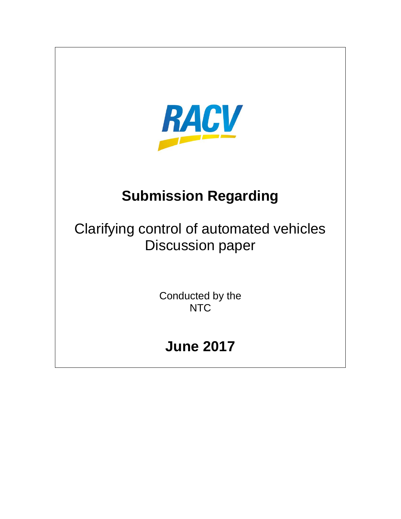

# **Submission Regarding**

Clarifying control of automated vehicles Discussion paper

> Conducted by the **NTC**

# **June 2017**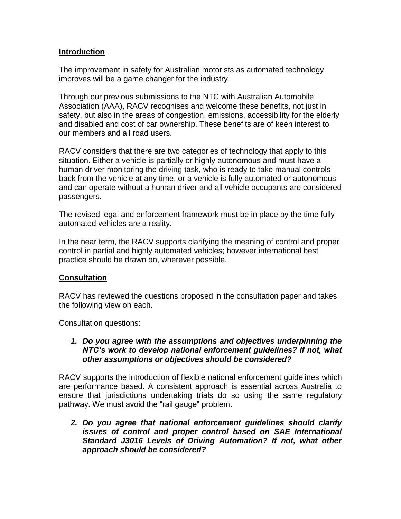#### **Introduction**

The improvement in safety for Australian motorists as automated technology improves will be a game changer for the industry.

Through our previous submissions to the NTC with Australian Automobile Association (AAA), RACV recognises and welcome these benefits, not just in safety, but also in the areas of congestion, emissions, accessibility for the elderly and disabled and cost of car ownership. These benefits are of keen interest to our members and all road users.

RACV considers that there are two categories of technology that apply to this situation. Either a vehicle is partially or highly autonomous and must have a human driver monitoring the driving task, who is ready to take manual controls back from the vehicle at any time, or a vehicle is fully automated or autonomous and can operate without a human driver and all vehicle occupants are considered passengers.

The revised legal and enforcement framework must be in place by the time fully automated vehicles are a reality.

In the near term, the RACV supports clarifying the meaning of control and proper control in partial and highly automated vehicles; however international best practice should be drawn on, wherever possible.

### **Consultation**

RACV has reviewed the questions proposed in the consultation paper and takes the following view on each.

Consultation questions:

#### *1. Do you agree with the assumptions and objectives underpinning the NTC's work to develop national enforcement guidelines? If not, what other assumptions or objectives should be considered?*

RACV supports the introduction of flexible national enforcement guidelines which are performance based. A consistent approach is essential across Australia to ensure that jurisdictions undertaking trials do so using the same regulatory pathway. We must avoid the "rail gauge" problem.

*2. Do you agree that national enforcement guidelines should clarify issues of control and proper control based on SAE International Standard J3016 Levels of Driving Automation? If not, what other approach should be considered?*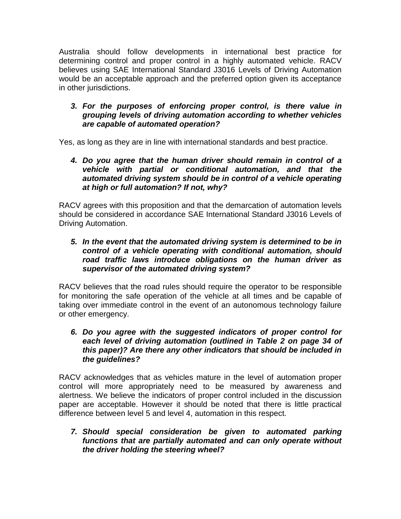Australia should follow developments in international best practice for determining control and proper control in a highly automated vehicle. RACV believes using SAE International Standard J3016 Levels of Driving Automation would be an acceptable approach and the preferred option given its acceptance in other jurisdictions.

# *3. For the purposes of enforcing proper control, is there value in grouping levels of driving automation according to whether vehicles are capable of automated operation?*

Yes, as long as they are in line with international standards and best practice.

# *4. Do you agree that the human driver should remain in control of a vehicle with partial or conditional automation, and that the automated driving system should be in control of a vehicle operating at high or full automation? If not, why?*

RACV agrees with this proposition and that the demarcation of automation levels should be considered in accordance SAE International Standard J3016 Levels of Driving Automation.

# *5. In the event that the automated driving system is determined to be in control of a vehicle operating with conditional automation, should road traffic laws introduce obligations on the human driver as supervisor of the automated driving system?*

RACV believes that the road rules should require the operator to be responsible for monitoring the safe operation of the vehicle at all times and be capable of taking over immediate control in the event of an autonomous technology failure or other emergency.

# *6. Do you agree with the suggested indicators of proper control for each level of driving automation (outlined in Table 2 on page 34 of this paper)? Are there any other indicators that should be included in the guidelines?*

RACV acknowledges that as vehicles mature in the level of automation proper control will more appropriately need to be measured by awareness and alertness. We believe the indicators of proper control included in the discussion paper are acceptable. However it should be noted that there is little practical difference between level 5 and level 4, automation in this respect.

### *7. Should special consideration be given to automated parking functions that are partially automated and can only operate without the driver holding the steering wheel?*